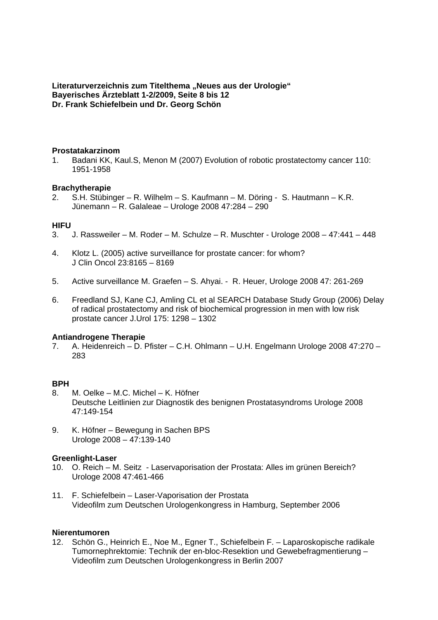## Literaturverzeichnis zum Titelthema "Neues aus der Urologie" **Bayerisches Ärzteblatt 1-2/2009, Seite 8 bis 12 Dr. Frank Schiefelbein und Dr. Georg Schön**

### **Prostatakarzinom**

1. Badani KK, Kaul.S, Menon M (2007) Evolution of robotic prostatectomy cancer 110: 1951-1958

## **Brachytherapie**

2. S.H. Stübinger – R. Wilhelm – S. Kaufmann – M. Döring - S. Hautmann – K.R. Jünemann – R. Galaleae – Urologe 2008 47:284 – 290

#### **HIFU**

- 3. J. Rassweiler M. Roder M. Schulze R. Muschter Urologe 2008 47:441 448
- 4. Klotz L. (2005) active surveillance for prostate cancer: for whom? J Clin Oncol 23:8165 – 8169
- 5. Active surveillance M. Graefen S. Ahyai. R. Heuer, Urologe 2008 47: 261-269
- 6. Freedland SJ, Kane CJ, Amling CL et al SEARCH Database Study Group (2006) Delay of radical prostatectomy and risk of biochemical progression in men with low risk prostate cancer J.Urol 175: 1298 – 1302

#### **Antiandrogene Therapie**

7. A. Heidenreich – D. Pfister – C.H. Ohlmann – U.H. Engelmann Urologe 2008 47:270 – 283

# **BPH**

- 8. M. Oelke M.C. Michel K. Höfner Deutsche Leitlinien zur Diagnostik des benignen Prostatasyndroms Urologe 2008 47:149-154
- 9. K. Höfner Bewegung in Sachen BPS Urologe 2008 – 47:139-140

#### **Greenlight-Laser**

- 10. O. Reich M. Seitz Laservaporisation der Prostata: Alles im grünen Bereich? Urologe 2008 47:461-466
- 11. F. Schiefelbein Laser-Vaporisation der Prostata Videofilm zum Deutschen Urologenkongress in Hamburg, September 2006

#### **Nierentumoren**

12. Schön G., Heinrich E., Noe M., Egner T., Schiefelbein F. – Laparoskopische radikale Tumornephrektomie: Technik der en-bloc-Resektion und Gewebefragmentierung – Videofilm zum Deutschen Urologenkongress in Berlin 2007